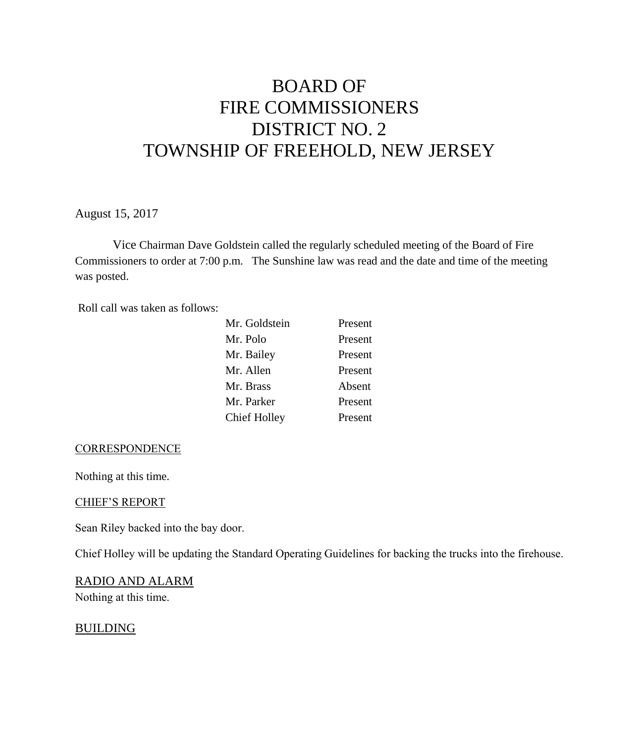# BOARD OF FIRE COMMISSIONERS DISTRICT NO. 2 TOWNSHIP OF FREEHOLD, NEW JERSEY

August 15, 2017

Vice Chairman Dave Goldstein called the regularly scheduled meeting of the Board of Fire Commissioners to order at 7:00 p.m. The Sunshine law was read and the date and time of the meeting was posted.

Roll call was taken as follows:

| Mr. Goldstein | Present |
|---------------|---------|
| Mr. Polo      | Present |
| Mr. Bailey    | Present |
| Mr. Allen     | Present |
| Mr. Brass     | Absent  |
| Mr. Parker    | Present |
| Chief Holley  | Present |

#### **CORRESPONDENCE**

Nothing at this time.

#### CHIEF'S REPORT

Sean Riley backed into the bay door.

Chief Holley will be updating the Standard Operating Guidelines for backing the trucks into the firehouse.

#### RADIO AND ALARM

Nothing at this time.

#### BUILDING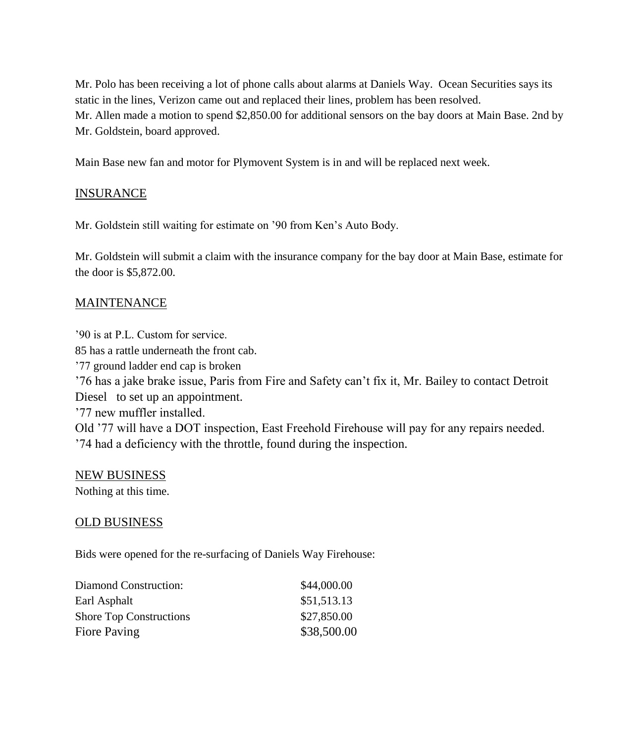Mr. Polo has been receiving a lot of phone calls about alarms at Daniels Way. Ocean Securities says its static in the lines, Verizon came out and replaced their lines, problem has been resolved. Mr. Allen made a motion to spend \$2,850.00 for additional sensors on the bay doors at Main Base. 2nd by Mr. Goldstein, board approved.

Main Base new fan and motor for Plymovent System is in and will be replaced next week.

### INSURANCE

Mr. Goldstein still waiting for estimate on '90 from Ken's Auto Body.

Mr. Goldstein will submit a claim with the insurance company for the bay door at Main Base, estimate for the door is \$5,872.00.

### MAINTENANCE

'90 is at P.L. Custom for service. 85 has a rattle underneath the front cab. '77 ground ladder end cap is broken '76 has a jake brake issue, Paris from Fire and Safety can't fix it, Mr. Bailey to contact Detroit Diesel to set up an appointment. '77 new muffler installed. Old '77 will have a DOT inspection, East Freehold Firehouse will pay for any repairs needed. '74 had a deficiency with the throttle, found during the inspection.

#### NEW BUSINESS

Nothing at this time.

## OLD BUSINESS

Bids were opened for the re-surfacing of Daniels Way Firehouse:

| Diamond Construction:          | \$44,000.00 |
|--------------------------------|-------------|
| Earl Asphalt                   | \$51,513.13 |
| <b>Shore Top Constructions</b> | \$27,850.00 |
| Fiore Paving                   | \$38,500.00 |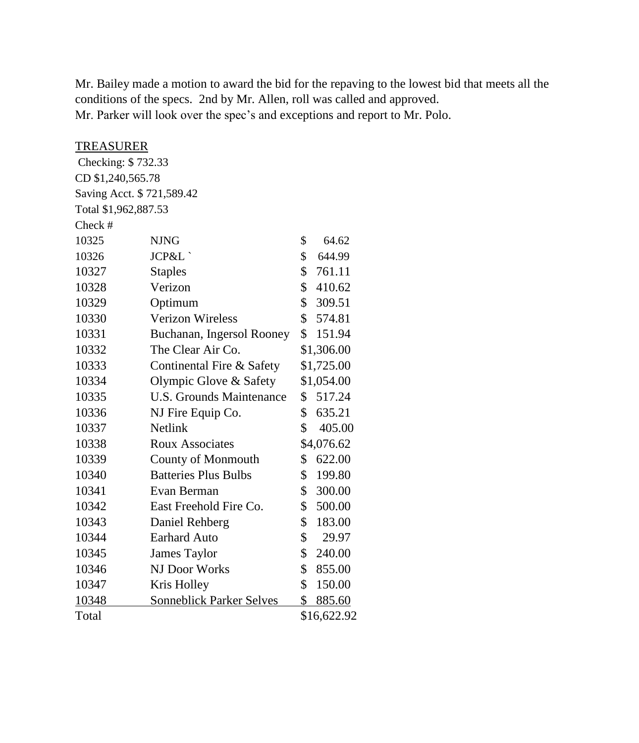Mr. Bailey made a motion to award the bid for the repaving to the lowest bid that meets all the conditions of the specs. 2nd by Mr. Allen, roll was called and approved. Mr. Parker will look over the spec's and exceptions and report to Mr. Polo.

## TREASURER

| Checking: \$732.33        |                                 |                     |
|---------------------------|---------------------------------|---------------------|
| CD \$1,240,565.78         |                                 |                     |
| Saving Acct. \$721,589.42 |                                 |                     |
| Total \$1,962,887.53      |                                 |                     |
| Check #                   |                                 |                     |
| 10325                     | <b>NJNG</b>                     | \$<br>64.62         |
| 10326                     | JCP&L`                          | \$<br>644.99        |
| 10327                     | <b>Staples</b>                  | \$<br>761.11        |
| 10328                     | Verizon                         | \$<br>410.62        |
| 10329                     | Optimum                         | \$<br>309.51        |
| 10330                     | <b>Verizon Wireless</b>         | \$<br>574.81        |
| 10331                     | Buchanan, Ingersol Rooney       | \$<br>151.94        |
| 10332                     | The Clear Air Co.               | \$1,306.00          |
| 10333                     | Continental Fire & Safety       | \$1,725.00          |
| 10334                     | Olympic Glove & Safety          | \$1,054.00          |
| 10335                     | <b>U.S. Grounds Maintenance</b> | 517.24<br>\$        |
| 10336                     | NJ Fire Equip Co.               | \$<br>635.21        |
| 10337                     | <b>Netlink</b>                  | \$<br>405.00        |
| 10338                     | <b>Roux Associates</b>          | \$4,076.62          |
| 10339                     | <b>County of Monmouth</b>       | \$<br>622.00        |
| 10340                     | <b>Batteries Plus Bulbs</b>     | \$<br>199.80        |
| 10341                     | Evan Berman                     | \$<br>300.00        |
| 10342                     | East Freehold Fire Co.          | \$<br>500.00        |
| 10343                     | Daniel Rehberg                  | \$<br>183.00        |
| 10344                     | <b>Earhard Auto</b>             | \$<br>29.97         |
| 10345                     | <b>James Taylor</b>             | \$<br>240.00        |
| 10346                     | NJ Door Works                   | \$<br>855.00        |
| 10347                     | Kris Holley                     | \$<br>150.00        |
| 10348                     | <b>Sonneblick Parker Selves</b> | \$<br><u>885.60</u> |
| Total                     |                                 | \$16,622.92         |